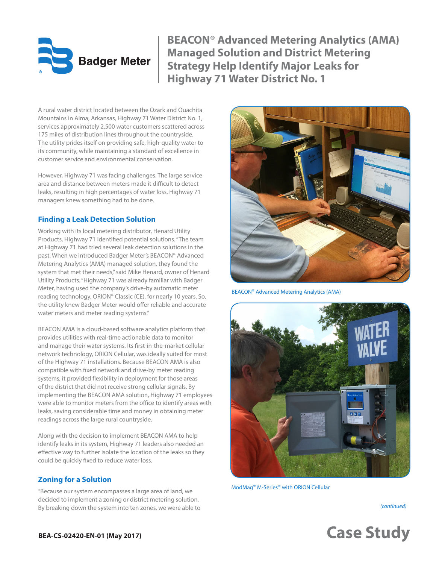# **Badger Meter**

**BEACON® Advanced Metering Analytics (AMA) Managed Solution and District Metering Strategy Help Identify Major Leaks for Highway 71 Water District No. 1**

A rural water district located between the Ozark and Ouachita Mountains in Alma, Arkansas, Highway 71 Water District No. 1, services approximately 2,500 water customers scattered across 175 miles of distribution lines throughout the countryside. The utility prides itself on providing safe, high-quality water to its community, while maintaining a standard of excellence in customer service and environmental conservation.

However, Highway 71 was facing challenges. The large service area and distance between meters made it difficult to detect leaks, resulting in high percentages of water loss. Highway 71 managers knew something had to be done.

## **Finding a Leak Detection Solution**

Working with its local metering distributor, Henard Utility Products, Highway 71 identified potential solutions. "The team at Highway 71 had tried several leak detection solutions in the past. When we introduced Badger Meter's BEACON® Advanced Metering Analytics (AMA) managed solution, they found the system that met their needs," said Mike Henard, owner of Henard Utility Products. "Highway 71 was already familiar with Badger Meter, having used the company's drive-by automatic meter reading technology, ORION® Classic (CE), for nearly 10 years. So, the utility knew Badger Meter would offer reliable and accurate water meters and meter reading systems."

BEACON AMA is a cloud-based software analytics platform that provides utilities with real-time actionable data to monitor and manage their water systems. Its first-in-the-market cellular network technology, ORION Cellular, was ideally suited for most of the Highway 71 installations. Because BEACON AMA is also compatible with fixed network and drive-by meter reading systems, it provided flexibility in deployment for those areas of the district that did not receive strong cellular signals. By implementing the BEACON AMA solution, Highway 71 employees were able to monitor meters from the office to identify areas with leaks, saving considerable time and money in obtaining meter readings across the large rural countryside.

Along with the decision to implement BEACON AMA to help identify leaks in its system, Highway 71 leaders also needed an effective way to further isolate the location of the leaks so they could be quickly fixed to reduce water loss.

# **Zoning for a Solution**

"Because our system encompasses a large area of land, we decided to implement a zoning or district metering solution. By breaking down the system into ten zones, we were able to



BEACON® Advanced Metering Analytics (AMA)



ModMag® M-Series® with ORION Cellular

*(continued)*